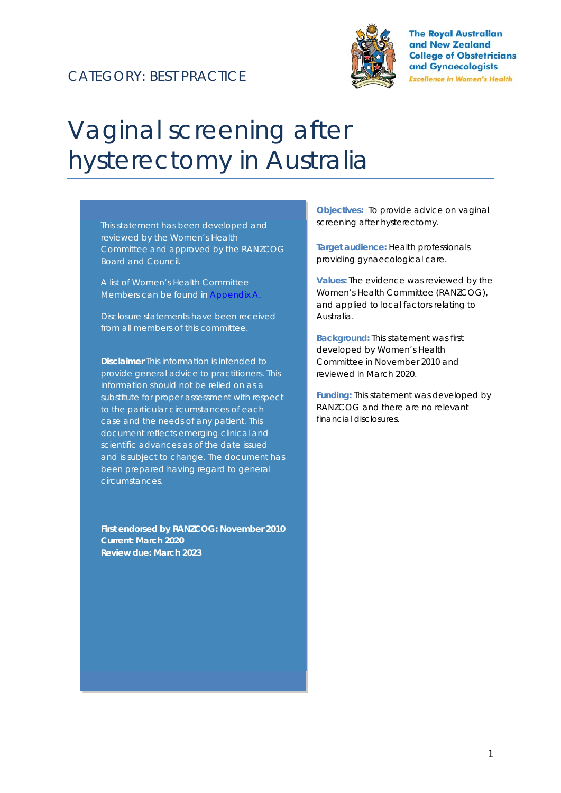## CATEGORY: BEST PRACTICE



**The Royal Australian** and New Zealand **College of Obstetricians** and Gynaecologists **Excellence in Women's Health** 

# Vaginal screening after hysterectomy in Australia

This statement has been developed and reviewed by the Women's Health Committee and approved by the RANZCOG Board and Council.

A list of Women's Health Committee Members can be found in Appendix A.

Disclosure statements have been received from all members of this committee.

**Disclaimer** This information is intended to provide general advice to practitioners. This information should not be relied on as a substitute for proper assessment with respect to the particular circumstances of each case and the needs of any patient. This document reflects emerging clinical and scientific advances as of the date issued and is subject to change. The document has been prepared having regard to general circumstances.

**First endorsed by RANZCOG: November 2010 Current: March 2020 Review due: March 2023** 

**Objectives:** To provide advice on vaginal screening after hysterectomy.

**Target audience:** Health professionals providing gynaecological care.

**Values:** The evidence was reviewed by the Women's Health Committee (RANZCOG), and applied to local factors relating to Australia.

**Background:** This statement was first developed by Women's Health Committee in November 2010 and reviewed in March 2020.

**Funding:** This statement was developed by RANZCOG and there are no relevant financial disclosures.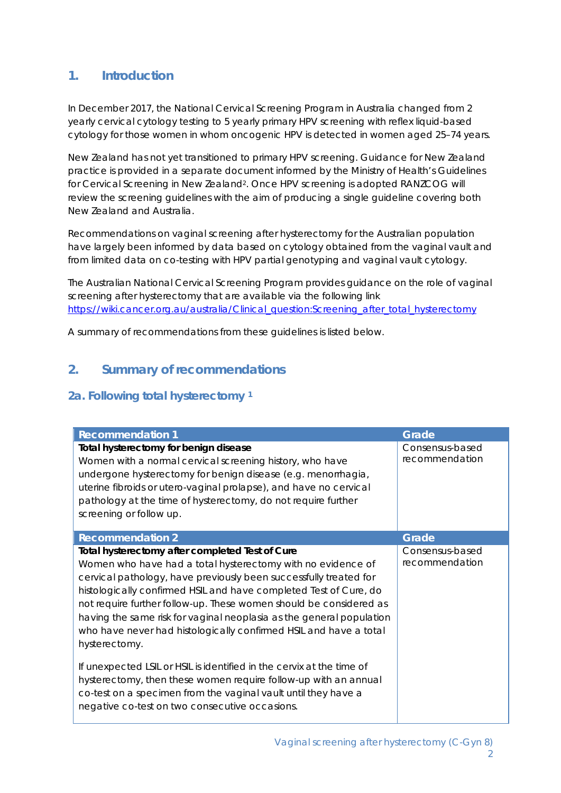#### **1. Introduction**

In December 2017, the National Cervical Screening Program in Australia changed from 2 yearly cervical cytology testing to 5 yearly primary HPV screening with reflex liquid-based cytology for those women in whom oncogenic HPV is detected in women aged 25–74 years.

New Zealand has not yet transitioned to primary HPV screening. Guidance for New Zealand practice is provided in a separate document informed by the Ministry of Health's Guidelines for Cervical Screening in New Zealand<sup>2</sup>. Once HPV screening is adopted RANZCOG will review the screening guidelines with the aim of producing a single guideline covering both New Zealand and Australia.

Recommendations on vaginal screening after hysterectomy for the Australian population have largely been informed by data based on cytology obtained from the vaginal vault and from limited data on co-testing with HPV partial genotyping and vaginal vault cytology.

The Australian National Cervical Screening Program provides guidance on the role of vaginal screening after hysterectomy that are available via the following link https://wiki.cancer.org.au/australia/Clinical\_question:Screening\_after\_total\_hysterectomy

A summary of recommendations from these guidelines is listed below.

## **2. Summary of recommendations**

#### **2a. Following total hysterectomy 1**

| <b>Recommendation 1</b>                                                                                                                                                                                                                                                                                                                                                                                                                                                                      | Grade                             |
|----------------------------------------------------------------------------------------------------------------------------------------------------------------------------------------------------------------------------------------------------------------------------------------------------------------------------------------------------------------------------------------------------------------------------------------------------------------------------------------------|-----------------------------------|
| Total hysterectomy for benign disease<br>Women with a normal cervical screening history, who have<br>undergone hysterectomy for benign disease (e.g. menorrhagia,<br>uterine fibroids or utero-vaginal prolapse), and have no cervical<br>pathology at the time of hysterectomy, do not require further<br>screening or follow up.                                                                                                                                                           | Consensus-based<br>recommendation |
| <b>Recommendation 2</b>                                                                                                                                                                                                                                                                                                                                                                                                                                                                      | Grade                             |
| Total hysterectomy after completed Test of Cure<br>Women who have had a total hysterectomy with no evidence of<br>cervical pathology, have previously been successfully treated for<br>histologically confirmed HSIL and have completed Test of Cure, do<br>not require further follow-up. These women should be considered as<br>having the same risk for vaginal neoplasia as the general population<br>who have never had histologically confirmed HSIL and have a total<br>hysterectomy. | Consensus-based<br>recommendation |
| If unexpected LSIL or HSIL is identified in the cervix at the time of<br>hysterectomy, then these women require follow-up with an annual<br>co-test on a specimen from the vaginal vault until they have a<br>negative co-test on two consecutive occasions.                                                                                                                                                                                                                                 |                                   |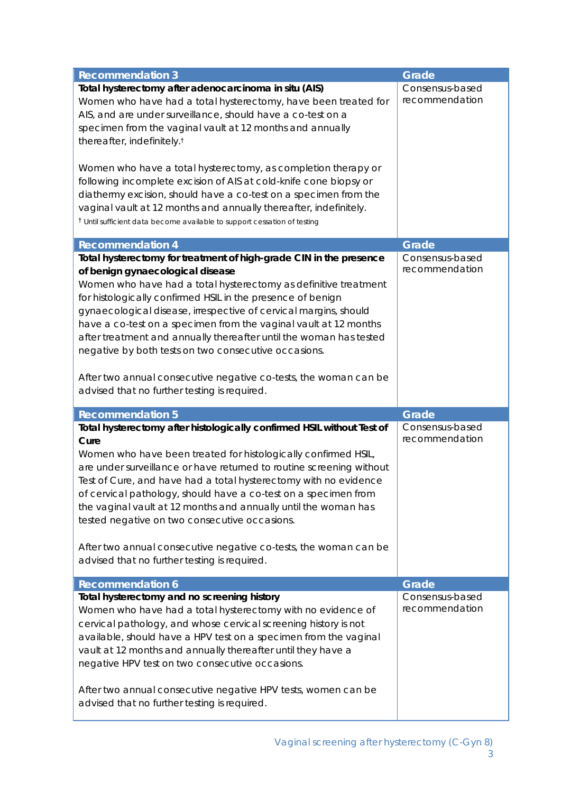| <b>Recommendation 3</b>                                                                                                                                                                                                                                                                                                                                                                                                                                                                                                                                                                                                            | Grade                             |  |  |
|------------------------------------------------------------------------------------------------------------------------------------------------------------------------------------------------------------------------------------------------------------------------------------------------------------------------------------------------------------------------------------------------------------------------------------------------------------------------------------------------------------------------------------------------------------------------------------------------------------------------------------|-----------------------------------|--|--|
| Total hysterectomy after adenocarcinoma in situ (AIS)<br>Women who have had a total hysterectomy, have been treated for<br>AIS, and are under surveillance, should have a co-test on a<br>specimen from the vaginal vault at 12 months and annually<br>thereafter, indefinitely. <sup>t</sup>                                                                                                                                                                                                                                                                                                                                      | Consensus-based<br>recommendation |  |  |
| Women who have a total hysterectomy, as completion therapy or<br>following incomplete excision of AIS at cold-knife cone biopsy or<br>diathermy excision, should have a co-test on a specimen from the<br>vaginal vault at 12 months and annually thereafter, indefinitely.<br><sup>†</sup> Until sufficient data become available to support cessation of testing                                                                                                                                                                                                                                                                 |                                   |  |  |
| <b>Recommendation 4</b>                                                                                                                                                                                                                                                                                                                                                                                                                                                                                                                                                                                                            | Grade                             |  |  |
| Total hysterectomy for treatment of high-grade CIN in the presence<br>of benign gynaecological disease<br>Women who have had a total hysterectomy as definitive treatment<br>for histologically confirmed HSIL in the presence of benign<br>gynaecological disease, irrespective of cervical margins, should<br>have a co-test on a specimen from the vaginal vault at 12 months<br>after treatment and annually thereafter until the woman has tested<br>negative by both tests on two consecutive occasions.<br>After two annual consecutive negative co-tests, the woman can be<br>advised that no further testing is required. | Consensus-based<br>recommendation |  |  |
| <b>Recommendation 5</b>                                                                                                                                                                                                                                                                                                                                                                                                                                                                                                                                                                                                            | Grade                             |  |  |
| Total hysterectomy after histologically confirmed HSIL without Test of<br>Cure<br>Women who have been treated for histologically confirmed HSIL,<br>are under surveillance or have returned to routine screening without<br>Test of Cure, and have had a total hysterectomy with no evidence<br>of cervical pathology, should have a co-test on a specimen from<br>the vaginal vault at 12 months and annually until the woman has<br>tested negative on two consecutive occasions.<br>After two annual consecutive negative co-tests, the woman can be<br>advised that no further testing is required.                            | Consensus-based<br>recommendation |  |  |
| <b>Recommendation 6</b>                                                                                                                                                                                                                                                                                                                                                                                                                                                                                                                                                                                                            | Grade                             |  |  |
| Total hysterectomy and no screening history<br>Women who have had a total hysterectomy with no evidence of<br>cervical pathology, and whose cervical screening history is not<br>available, should have a HPV test on a specimen from the vaginal<br>vault at 12 months and annually thereafter until they have a<br>negative HPV test on two consecutive occasions.<br>After two annual consecutive negative HPV tests, women can be                                                                                                                                                                                              | Consensus-based<br>recommendation |  |  |
| advised that no further testing is required.                                                                                                                                                                                                                                                                                                                                                                                                                                                                                                                                                                                       |                                   |  |  |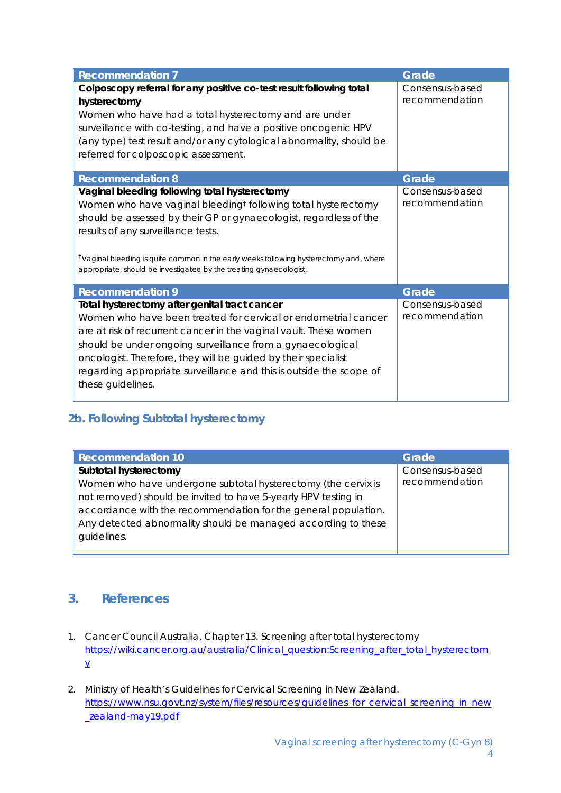| <b>Recommendation 7</b>                                                                                                                                                                                                                                                                                                                                                                                            | Grade                             |
|--------------------------------------------------------------------------------------------------------------------------------------------------------------------------------------------------------------------------------------------------------------------------------------------------------------------------------------------------------------------------------------------------------------------|-----------------------------------|
| Colposcopy referral for any positive co-test result following total<br>hysterectomy<br>Women who have had a total hysterectomy and are under<br>surveillance with co-testing, and have a positive oncogenic HPV<br>(any type) test result and/or any cytological abnormality, should be<br>referred for colposcopic assessment.                                                                                    | Consensus-based<br>recommendation |
| <b>Recommendation 8</b>                                                                                                                                                                                                                                                                                                                                                                                            | Grade                             |
| Vaginal bleeding following total hysterectomy<br>Women who have vaginal bleeding <sup>t</sup> following total hysterectomy<br>should be assessed by their GP or gynaecologist, regardless of the<br>results of any surveillance tests.<br><sup>†</sup> Vaginal bleeding is quite common in the early weeks following hysterectomy and, where<br>appropriate, should be investigated by the treating gynaecologist. | Consensus-based<br>recommendation |
| <b>Recommendation 9</b>                                                                                                                                                                                                                                                                                                                                                                                            | <b>Grade</b>                      |
| Total hysterectomy after genital tract cancer<br>Women who have been treated for cervical or endometrial cancer<br>are at risk of recurrent cancer in the vaginal vault. These women<br>should be under ongoing surveillance from a gynaecological<br>oncologist. Therefore, they will be guided by their specialist<br>regarding appropriate surveillance and this is outside the scope of<br>these guidelines.   | Consensus-based<br>recommendation |

#### **2b. Following Subtotal hysterectomy**

| <b>Recommendation 10</b>                                       | Grade           |
|----------------------------------------------------------------|-----------------|
| Subtotal hysterectomy                                          | Consensus-based |
| Women who have undergone subtotal hysterectomy (the cervix is  | recommendation  |
| not removed) should be invited to have 5-yearly HPV testing in |                 |
| accordance with the recommendation for the general population. |                 |
| Any detected abnormality should be managed according to these  |                 |
| guidelines.                                                    |                 |
|                                                                |                 |

#### **3. References**

- 1. Cancer Council Australia, Chapter 13. Screening after total hysterectomy https://wiki.cancer.org.au/australia/Clinical\_question:Screening\_after\_total\_hysterectom y
- 2. Ministry of Health's Guidelines for Cervical Screening in New Zealand. https://www.nsu.govt.nz/system/files/resources/guidelines\_for\_cervical\_screening\_in\_new \_zealand-may19.pdf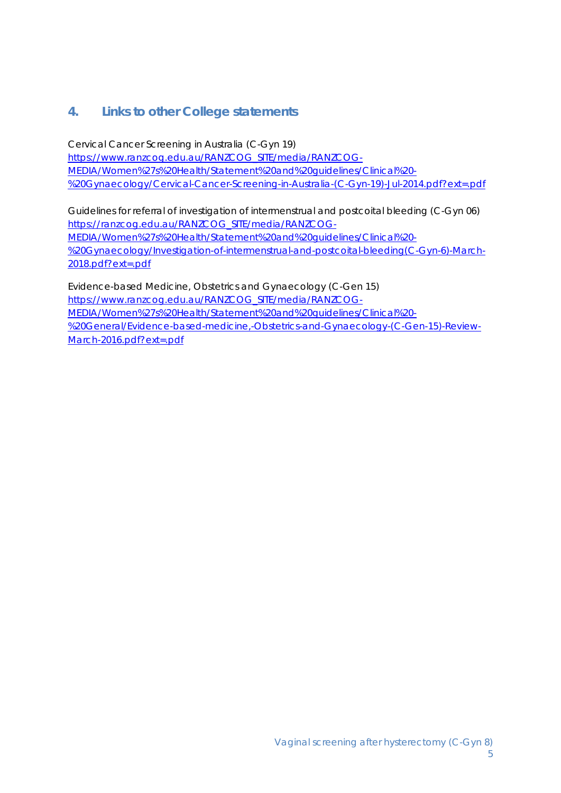#### **4. Links to other College statements**

Cervical Cancer Screening in Australia (C-Gyn 19) https://www.ranzcog.edu.au/RANZCOG\_SITE/media/RANZCOG-MEDIA/Women%27s%20Health/Statement%20and%20guidelines/Clinical%20- %20Gynaecology/Cervical-Cancer-Screening-in-Australia-(C-Gyn-19)-Jul-2014.pdf?ext=.pdf

Guidelines for referral of investigation of intermenstrual and postcoital bleeding (C-Gyn 06) https://ranzcog.edu.au/RANZCOG\_SITE/media/RANZCOG-MEDIA/Women%27s%20Health/Statement%20and%20guidelines/Clinical%20- %20Gynaecology/Investigation-of-intermenstrual-and-postcoital-bleeding(C-Gyn-6)-March-2018.pdf?ext=.pdf

Evidence-based Medicine, Obstetrics and Gynaecology (C-Gen 15) https://www.ranzcog.edu.au/RANZCOG\_SITE/media/RANZCOG-MEDIA/Women%27s%20Health/Statement%20and%20guidelines/Clinical%20- %20General/Evidence-based-medicine,-Obstetrics-and-Gynaecology-(C-Gen-15)-Review-March-2016.pdf?ext=.pdf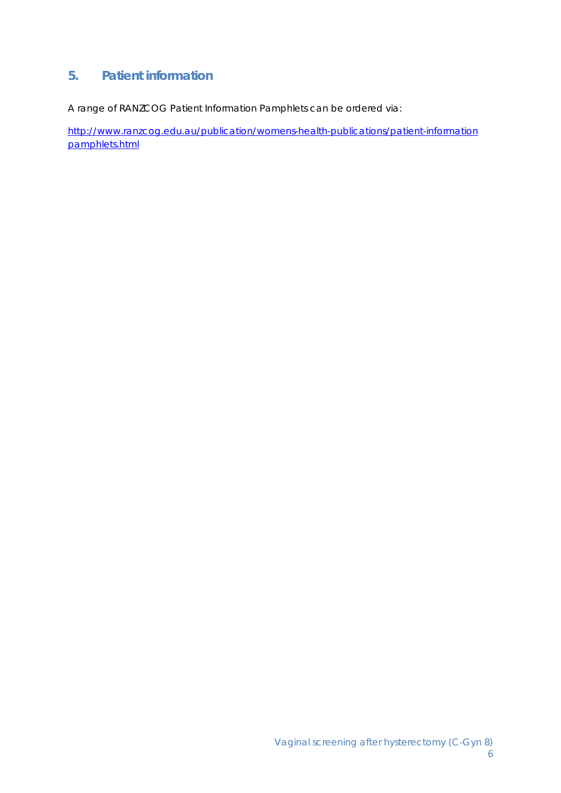## **5. Patient information**

A range of RANZCOG Patient Information Pamphlets can be ordered via:

http://www.ranzcog.edu.au/publication/womens-health-publications/patient-information pamphlets.html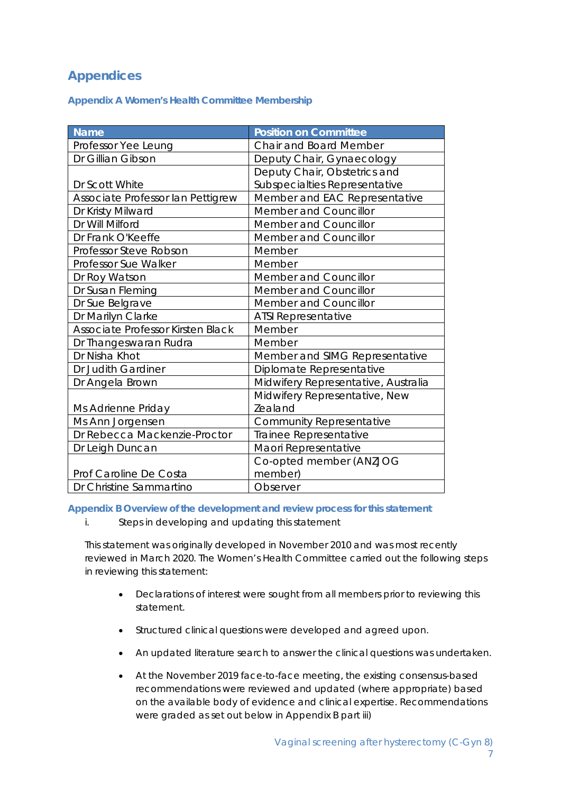## **Appendices**

**Appendix A Women's Health Committee Membership** 

| <b>Name</b>                       | <b>Position on Committee</b>        |
|-----------------------------------|-------------------------------------|
| Professor Yee Leung               | <b>Chair and Board Member</b>       |
| Dr Gillian Gibson                 | Deputy Chair, Gynaecology           |
|                                   | Deputy Chair, Obstetrics and        |
| Dr Scott White                    | Subspecialties Representative       |
| Associate Professor lan Pettigrew | Member and EAC Representative       |
| Dr Kristy Milward                 | Member and Councillor               |
| Dr Will Milford                   | Member and Councillor               |
| Dr Frank O'Keeffe                 | Member and Councillor               |
| Professor Steve Robson            | Member                              |
| Professor Sue Walker              | Member                              |
| Dr Roy Watson                     | Member and Councillor               |
| Dr Susan Fleming                  | Member and Councillor               |
| Dr Sue Belgrave                   | Member and Councillor               |
| Dr Marilyn Clarke                 | <b>ATSI Representative</b>          |
| Associate Professor Kirsten Black | Member                              |
| Dr Thangeswaran Rudra             | Member                              |
| Dr Nisha Khot                     | Member and SIMG Representative      |
| Dr Judith Gardiner                | Diplomate Representative            |
| Dr Angela Brown                   | Midwifery Representative, Australia |
|                                   | Midwifery Representative, New       |
| Ms Adrienne Priday                | Zealand                             |
| Ms Ann Jorgensen                  | <b>Community Representative</b>     |
| Dr Rebecca Mackenzie-Proctor      | Trainee Representative              |
| Dr Leigh Duncan                   | Maori Representative                |
|                                   | Co-opted member (ANZJOG             |
| Prof Caroline De Costa            | member)                             |
| Dr Christine Sammartino           | Observer                            |

**Appendix B Overview of the development and review process for this statement** 

*i. Steps in developing and updating this statement* 

This statement was originally developed in November 2010 and was most recently reviewed in March 2020. The Women's Health Committee carried out the following steps in reviewing this statement:

- Declarations of interest were sought from all members prior to reviewing this statement.
- Structured clinical questions were developed and agreed upon.
- An updated literature search to answer the clinical questions was undertaken.
- At the November 2019 face-to-face meeting, the existing consensus-based recommendations were reviewed and updated (where appropriate) based on the available body of evidence and clinical expertise. Recommendations were graded as set out below in Appendix B part iii)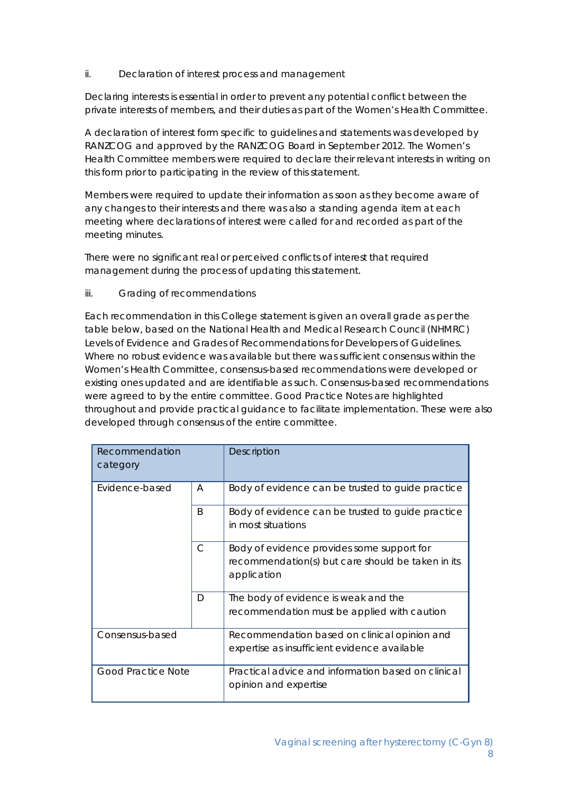#### *ii. Declaration of interest process and management*

Declaring interests is essential in order to prevent any potential conflict between the private interests of members, and their duties as part of the Women's Health Committee.

A declaration of interest form specific to guidelines and statements was developed by RANZCOG and approved by the RANZCOG Board in September 2012. The Women's Health Committee members were required to declare their relevant interests in writing on this form prior to participating in the review of this statement.

Members were required to update their information as soon as they become aware of any changes to their interests and there was also a standing agenda item at each meeting where declarations of interest were called for and recorded as part of the meeting minutes.

There were no significant real or perceived conflicts of interest that required management during the process of updating this statement.

#### *iii. Grading of recommendations*

Each recommendation in this College statement is given an overall grade as per the table below, based on the National Health and Medical Research Council (NHMRC) Levels of Evidence and Grades of Recommendations for Developers of Guidelines. Where no robust evidence was available but there was sufficient consensus within the Women's Health Committee, consensus-based recommendations were developed or existing ones updated and are identifiable as such. Consensus-based recommendations were agreed to by the entire committee. Good Practice Notes are highlighted throughout and provide practical guidance to facilitate implementation. These were also developed through consensus of the entire committee.

| Recommendation<br>category                               |                                                   | <b>Description</b>                                                                                             |
|----------------------------------------------------------|---------------------------------------------------|----------------------------------------------------------------------------------------------------------------|
| Evidence-based<br>A<br><sub>B</sub><br>$\mathsf{C}$<br>D | Body of evidence can be trusted to guide practice |                                                                                                                |
|                                                          |                                                   | Body of evidence can be trusted to guide practice<br>in most situations                                        |
|                                                          |                                                   | Body of evidence provides some support for<br>recommendation(s) but care should be taken in its<br>application |
|                                                          |                                                   | The body of evidence is weak and the<br>recommendation must be applied with caution                            |
| Consensus-based                                          |                                                   | Recommendation based on clinical opinion and<br>expertise as insufficient evidence available                   |
| <b>Good Practice Note</b>                                |                                                   | Practical advice and information based on clinical<br>opinion and expertise                                    |